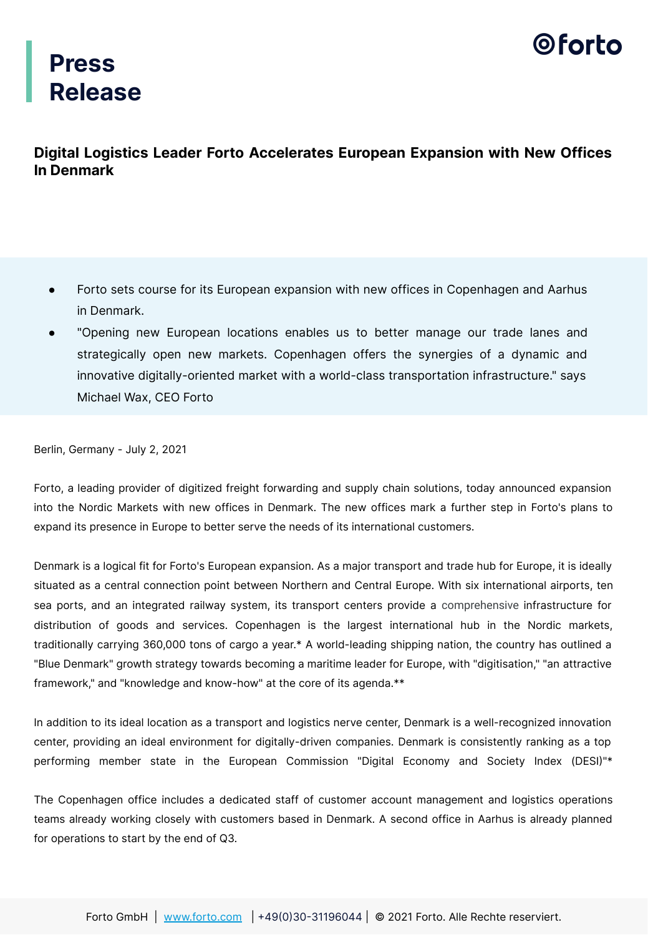## 0 forto

## **Press Release**

### **Digital Logistics Leader Forto Accelerates European Expansion with New Offices In Denmark**

- Forto sets course for its European expansion with new offices in Copenhagen and Aarhus in Denmark.
- "Opening new European locations enables us to better manage our trade lanes and strategically open new markets. Copenhagen offers the synergies of a dynamic and innovative digitally-oriented market with a world-class transportation infrastructure." says Michael Wax, CEO Forto

Berlin, Germany - July 2, 2021

Forto, a leading provider of digitized freight forwarding and supply chain solutions, today announced expansion into the Nordic Markets with new offices in Denmark. The new offices mark a further step in Forto's plans to expand its presence in Europe to better serve the needs of its international customers.

Denmark is a logical fit for Forto's European expansion. As a major transport and trade hub for Europe, it is ideally situated as a central connection point between Northern and Central Europe. With six international airports, ten sea ports, and an integrated railway system, its transport centers provide a comprehensive infrastructure for distribution of goods and services. Copenhagen is the largest international hub in the Nordic markets, traditionally carrying 360,000 tons of cargo a year.\* A world-leading shipping nation, the country has outlined a "Blue Denmark" growth strategy towards becoming a maritime leader for Europe, with "digitisation," "an attractive framework," and "knowledge and know-how" at the core of its agenda.\*\*

In addition to its ideal location as a transport and logistics nerve center, Denmark is a well-recognized innovation center, providing an ideal environment for digitally-driven companies. Denmark is consistently ranking as a top performing member state in the European Commission "Digital Economy and Society Index (DESI)"\*

The Copenhagen office includes a dedicated staff of customer account management and logistics operations teams already working closely with customers based in Denmark. A second office in Aarhus is already planned for operations to start by the end of Q3.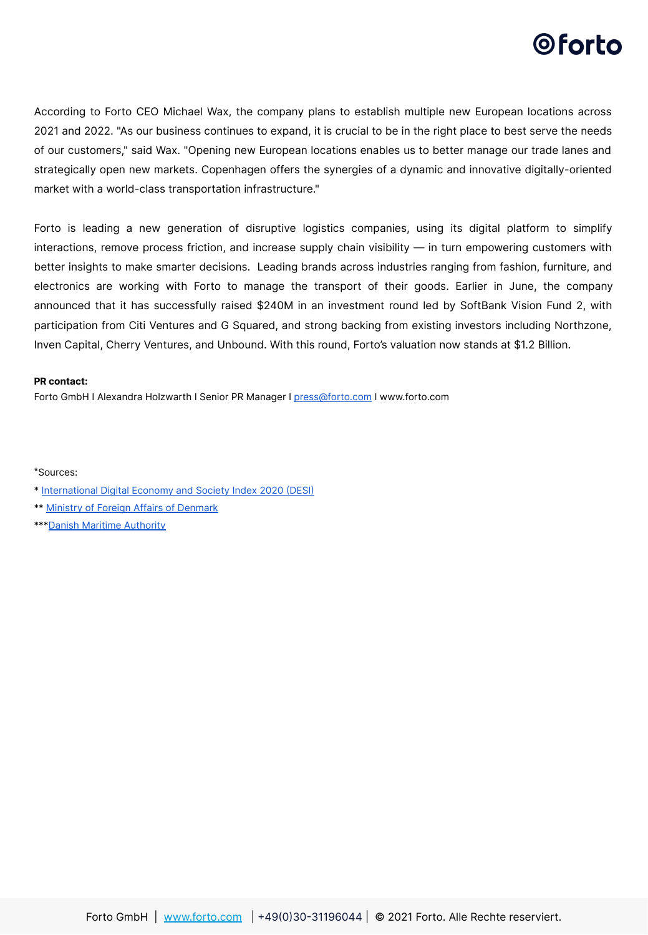## ©forto

According to Forto CEO Michael Wax, the company plans to establish multiple new European locations across 2021 and 2022. "As our business continues to expand, it is crucial to be in the right place to best serve the needs of our customers," said Wax. "Opening new European locations enables us to better manage our trade lanes and strategically open new markets. Copenhagen offers the synergies of a dynamic and innovative digitally-oriented market with a world-class transportation infrastructure."

Forto is leading a new generation of disruptive logistics companies, using its digital platform to simplify interactions, remove process friction, and increase supply chain visibility — in turn empowering customers with better insights to make smarter decisions. Leading brands across industries ranging from fashion, furniture, and electronics are working with Forto to manage the transport of their goods. Earlier in June, the company announced that it has successfully raised \$240M in an investment round led by SoftBank Vision Fund 2, with participation from Citi Ventures and G Squared, and strong backing from existing investors including Northzone, Inven Capital, Cherry Ventures, and Unbound. With this round, Forto's valuation now stands at \$1.2 Billion.

#### **PR contact:**

Forto GmbH I Alexandra Holzwarth I Senior PR Manager I [press@forto.com](mailto:press@forto.com) I www.forto.com

\*Sources:

- \* International Digital Economy and Society Index 2020 (DESI)
- \*\* [Ministry of Foreign Affairs of Denmark](https://www.dma.dk/Vaekst/VaekstBlaaDanmark/V%C3%A6kstplan2018/Sider/default.aspx)
- \*\*\* Danish Maritime Authority